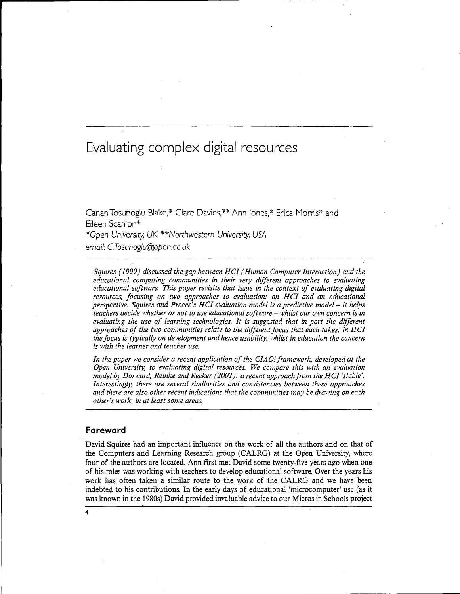# Evaluating complex digital resources

Canan Tosunoglu Blake\* Clare Davies,\*\* Ann Jones,\* Erica Morris\* and Eileen Scanlon\*

\*Open University, UK \*\*Northwestern University, USA

email: C.Tosunoglu@open.ac.uk

*Squires (1999) discussed the gap between HCI (Human Computer Interaction) and the educational computing communities in their very different approaches to evaluating educational software. This paper revisits that issue in the context of evaluating digital resources, focusing on two approaches to evaluation: an HCI and an educational perspective. Squires and Preece's HCI evaluation model is a predictive model* - *it helps teachers decide whether or not to use educational software - whilst our own concern is in evaluating the use of learning technologies. It is suggested that in part the different approaches of the two communities relate to the different focus that each takes: in HCI the focus is typically on development and hence usability, whilst in education the concern is with the learner and teacher use.*

*In the paper we consider a recent application of the CIAO! framework, developed at the Open University, to evaluating digital resources. We compare this with an evaluation model by Dorward, Reinke and Recker (2002): a recent approach from the HCI 'stable'. Interestingly, there are several similarities and consistencies between these approaches and there are also other recent indications that the communities may be drawing on each other's work, in at least some areas.*

### **Foreword**

David Squires had an important influence on the work of all the authors and on that of the Computers and Learning Research group (CALRG) at the Open University, where four of the authors are located. Ann first met David some twenty-five years ago when one of his roles was working with teachers to develop educational software. Over the years his work has often taken a similar route to the work of the CALRG and we have been indebted to his contributions. In the early days of educational 'microcomputer' use (as it was known in the 1980s) David provided invaluable advice to our Micros in Schools project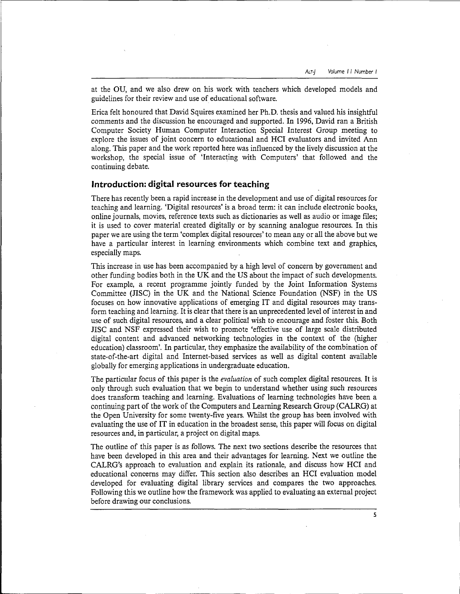at the OU, and we also drew on his work with teachers which developed models and guidelines for their review and use of educational software.

Erica felt honoured that David Squires examined her Ph.D. thesis and valued his insightful comments and the discussion he encouraged and supported. In 1996, David ran a British Computer Society Human Computer Interaction Special Interest Group meeting to explore the issues of joint concern to educational and HCI evaluators and invited Ann along. This paper and the work reported here was influenced by the lively discussion at the workshop, the special issue of 'Interacting with Computers' that followed and the continuing debate.

### **Introduction: digital resources for teaching**

There has recently been a rapid increase in the development and use of digital resources for teaching and learning. 'Digital resources' is a broad term: it can include electronic books, online journals, movies, reference texts such as dictionaries as well as audio or image files; it is used to cover material created digitally or by scanning analogue resources. In this paper we are using the term 'complex digital resources' to mean any or all the above but we have a particular interest in learning environments which combine text and graphics, especially maps.

This increase in use has been accompanied by a high level of concern by government and other funding bodies both in the UK and the US about the impact of such developments. For example, a recent programme jointly funded by the Joint Information Systems Committee (JISC) in the UK and the National Science Foundation (NSF) in the US focuses on how innovative applications of emerging IT and digital resources may transform teaching and learning. It is clear that there is an unprecedented level of interest in and use of such digital resources, and a clear political wish to encourage and foster this. Both JISC and NSF expressed their wish to promote 'effective use of large scale distributed digital content and advanced networking technologies in the context of the (higher education) classroom'. In particular, they emphasrze the availability of the combination of state-of-the-art digital and Internet-based services as well as digital content available globally for emerging applications in undergraduate education.

The particular focus of this paper is the *evaluation* of such complex digital resources. It is only through such evaluation that we begin to understand whether using such resources does transform teaching and learning. Evaluations of learning technologies have been a continuing part of the work of the Computers and Learning Research Group (CALRG) at the Open University for some twenty-five years. Whilst the group has been involved with evaluating the use of IT in education in the broadest sense, this paper will focus on digital resources and, in particular, a project on digital maps.

The outline of this paper is as follows. The next two sections describe the resources that have been developed in this area and their advantages for learning. Next we outline the CALRG's approach to evaluation and explain its rationale, and discuss how HCI and educational concerns may differ. This section also describes an HCI evaluation model developed for evaluating digital library services and compares the two approaches. Following this we outline how the framework was applied to evaluating an external project before drawing our conclusions.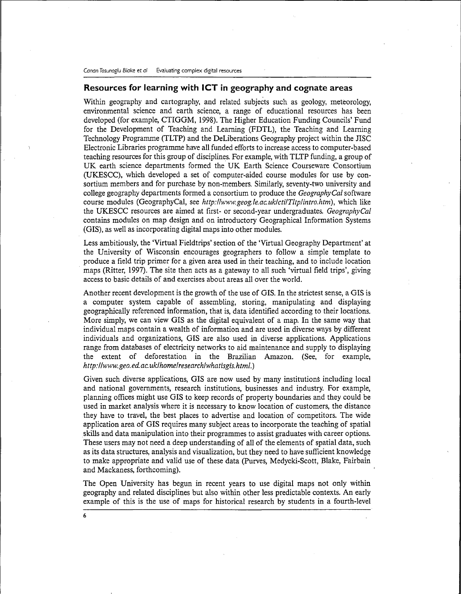# Resources for learning with ICT in geography and cognate areas

Within geography and cartography, and related subjects such as geology, meteorology, environmental science and earth science, a range of educational resources has been developed (for example, CTIGGM, 1998). The Higher Education Funding Councils' Fund for the Development of Teaching and Learning (FDTL), the Teaching and Learning Technology Programme (TLTP) and the DeLiberations Geography project within the JISC Electronic Libraries programme have all funded efforts to increase access to computer-based teaching resources for this group of disciplines. For example, with TLTP funding, a group of UK earth science departments formed the UK Earth Science Courseware Consortium (UKESCC), which developed a set of computer-aided course modules for use by consortium members and for purchase by non-members. Similarly, seventy-two university and college geography departments formed a consortium to produce the *GeographyCal* software course modules (GeographyCal, see *http:llwww.geog.le.ac.uklctilTltplintro.htm),* which like the UKESCC resources are aimed at first- or second-year undergraduates. *GeographyCal* contains modules on map design and on introductory Geographical Information Systems (GIS), as well as incorporating digital maps into other modules.

Less ambitiously, the 'Virtual Fieldtrips' section of the 'Virtual Geography Department' at the University of Wisconsin encourages geographers to follow a simple template to produce a field trip primer for a given area used in their teaching, and to include location maps (Ritter, 1997). The site then acts as a gateway to all such 'virtual field trips', giving access to basic details of and exercises about areas all over the world.

Another recent development is the growth of the use of GIS. In the strictest sense, a GIS is a computer system capable of assembling, storing, manipulating and displaying geographically referenced information, that is, data identified according to their locations. More simply, we can view GIS as the digital equivalent of a map. In the same way that individual maps contain a wealth of information and are used in diverse ways by different individuals and organizations, GIS are also used in diverse applications. Applications range from databases of electricity networks to aid maintenance and supply to displaying the extent of deforestation in the Brazilian Amazon. (See, for example, *http://www.geo. ed. ac. uklhomelresearchlwhatisgis.html.)*

Given such diverse applications, GIS are now used by many institutions including local and national governments, research institutions, businesses and industry. For example, planning offices might use GIS to keep records of property boundaries and they could be used in market analysis where it is necessary to know location of customers, the distance they have to travel, the best places to advertise and location of competitors. The wide application area of GIS requires many subject areas to incorporate the teaching of spatial skills and data manipulation into their programmes to assist graduates with career options. These users may not need a deep understanding of all of the elements of spatial data, such as its data structures, analysis and visualization, but they need to have sufficient knowledge to make appropriate and valid use of these data (Purves, Medycki-Scott, Blake, Fairbain and Mackaness, forthcoming).

The Open University has begun in recent years to use digital maps not only within geography and related disciplines but also within other less predictable contexts. An early example of this is the use of maps for historical research by students in a fourth-level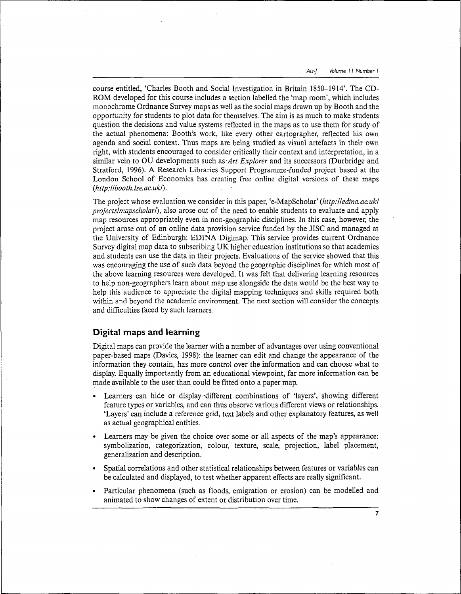course entitled, 'Charles Booth and Social Investigation in Britain 1850-1914'. The CD-ROM developed for this course includes a section labelled the 'map room', which includes monochrome Ordnance Survey maps as well as the social maps drawn up by Booth and the opportunity for students to plot data for themselves. The aim is as much to make students question the decisions and value systems reflected in the maps as to use them for study of the actual phenomena: Booth's work, like every other cartographer, reflected his own agenda and social context. Thus maps are being studied as visual artefacts in their own right, with students encouraged to consider critically their context and interpretation, in a similar vein to OU developments such *as-Art Explorer* and its successors (Durbridge and Stratford, 1996). A Research Libraries Support Programme-funded project based at the London School of Economics has creating free online digital versions of these maps *{http:llbooth.lse.ac.ukl).*

The project whose evaluation we consider in this paper, 'e-MapScholar' *(http://edina.ac.uk/ projectslmapscholarf),* also arose out of the need to enable students to evaluate and apply map resources appropriately even in non-geographic disciplines. In this case, however, the project arose out of an online data provision service funded by the JISC and managed at the University of Edinburgh: EDINA Digimap. This service provides current Ordnance Survey digital map data to subscribing UK higher education institutions so that academics and students can use the data in their projects. Evaluations of the service showed that this was encouraging the use of such data beyond the geographic disciplines for which most of the above learning resources were developed. It was felt that delivering learning resources to help non-geographers learn about map use alongside the data would be the best way to help this audience to appreciate the digital mapping techniques and skills required both within and beyond the academic environment. The next section will consider the concepts and difficulties faced by such learners.

# Digital maps and learning

Digital maps can provide the learner with a number of advantages over using conventional paper-based maps (Davies, 1998): the learner can edit and change the appearance of the information they contain, has more control over the information and can choose what to display. Equally importantly from an educational viewpoint, far more information can be made available to the user than could be fitted onto a paper map.

- Learners can hide or display -different combinations of 'layers', showing different feature types or variables, and can thus observe various different views or relationships. 'Layers' can include a reference grid, text labels and other explanatory features, as well as actual geographical entities.
- Learners may be given the choice over some or all aspects of the map's appearance: symbolization, categorization, colour, texture, scale, projection, label placement, generalization and description.
- Spatial correlations and other statistical relationships between features or variables can be calculated and displayed, to test whether apparent effects are really significant.
- Particular phenomena (such as floods, emigration or erosion) can be modelled and animated to show changes of extent or distribution over time.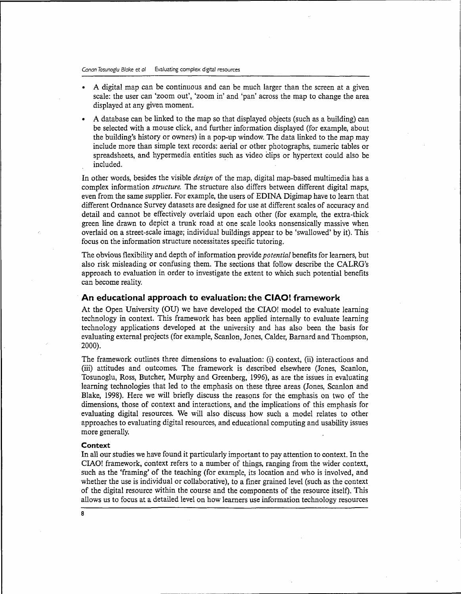- A digital map can be continuous and can be much larger than the screen at a given scale: the user can 'zoom out', 'zoom in' and 'pan' across the map to change the area displayed at any given moment.
- A database can be linked to the map so that displayed objects (such as a building) can be selected with a mouse click, and further information displayed (for example, about the building's history or owners) in a pop-up window. The data linked to the map may include more than simple text records: aerial or other photographs, numeric tables or spreadsheets, and hypermedia entities such as video clips or hypertext could also be included.

In other words, besides the visible *design* of the map, digital map-based multimedia has a complex information *structure.* The structure also differs between different digital maps, even from the same supplier. For example, the users of EDINA Digimap have to learn that different Ordnance Survey datasets are designed for use at different scales of accuracy and detail and cannot be effectively overlaid upon each other (for example, the extra-thick green line drawn to depict a trunk road at one scale looks nonsensically massive when overlaid on a street-scale image; individual buildings appear to be 'swallowed' by it). This focus on the information structure necessitates specific tutoring.

The obvious flexibility and depth of information provide *potenticil* benefits for learners, but also risk misleading or confusing them. The sections that follow describe the CALRG's approach to evaluation in order to investigate the extent to which such potential benefits can become reality.

## **An educational approach to evaluation: the CIAO! framework**

At the Open University (OU) we have developed the CIAO! model to evaluate learning technology in context. This framework has been applied internally to evaluate learning technology applications developed at the university and has also been the basis for evaluating external projects (for example, Scanlon, Jones, Calder, Barnard and Thompson, 2000).

The framework outlines three dimensions to evaluation: (i) context, (ii) interactions and (iii) attitudes and outcomes. The framework is described elsewhere (Jones, Scanlon, Tosunoglu, Ross, Butcher, Murphy and Greenberg, 1996), as are the issues in evaluating learning technologies that led to the emphasis on these three areas (Jones, Scanlon and Blake, 1998). Here we will briefly discuss the reasons for the emphasis on two of the dimensions, those of context and interactions, and the implications of this emphasis for evaluating digital resources. We will also discuss how such a model relates to other approaches to evaluating digital resources, and educational computing and usability issues more generally.

### **Context**

In all our studies we have found it particularly important to pay attention to context. In the CIAO! framework, context refers to a number of things, ranging from the wider context, such as the 'framing' of the teaching (for example, its location and who is involved, and whether the use is individual or collaborative), to a finer grained level (such as the context of the digital resource within the course and the components of the resource itself). This allows us to focus at a detailed level on how learners use information technology resources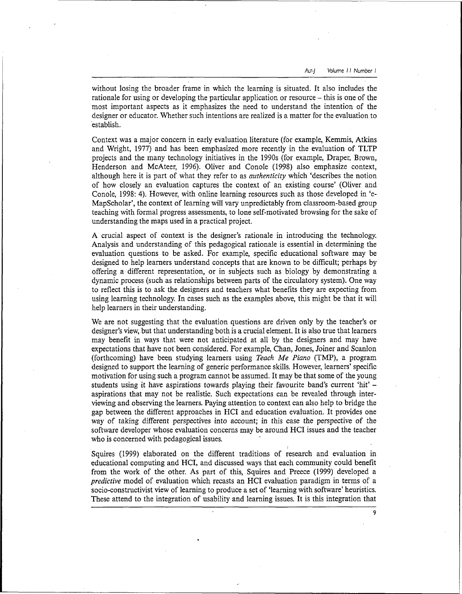without losing the broader frame in which the learning is situated. It also includes the rationale for using or developing the particular application or resource – this is one of the most important aspects as it emphasizes the need to understand the intention of the designer or educator. Whether such intentions are realized is a matter for the evaluation to establish.

Context was a major concern in early evaluation literature (for example, Kemmis, Atkins and Wright, 1977) and has been emphasized more recently in the evaluation of TLTP projects and the many technology initiatives in the 1990s (for example, Draper, Brown, Henderson and McAteer, 1996). Oliver and Conole (1998) also emphasize context, although here it is part of what they refer to as *authenticity* which 'describes the notion of how closely an evaluation captures the context of an existing course' (Oliver and Conole, 1998: 4). However, with online learning resources such as those developed in 'e-MapScholar', the context of learning will vary unpredictably from classroom-based group teaching with formal progress assessments, to lone self-motivated browsing for the sake of understanding the maps used in a practical project.

A crucial aspect of context is the designer's rationale in introducing the technology. Analysis and understanding of this pedagogical rationale is essential in determining the evaluation questions to be asked. For example, specific educational software may be designed to help learners understand concepts that are known to be difficult; perhaps by offering a different representation, or in subjects such as biology by demonstrating a dynamic process (such as relationships between parts of the circulatory system). One way to reflect this is to ask the designers and teachers what benefits they are expecting from using learning technology. In cases such as the examples above, this might be that it will help learners in their understanding.

We are not suggesting that the evaluation questions are driven only by the teacher's or designer's view, but that understanding both is a crucial element. It is also true that learners may benefit in ways that were not anticipated at all by the designers and may have expectations that have not been considered. For example, Chan, Jones, Joiner and Scanlon (forthcoming) have been studying learners using *Teach Me Piano* (TMP), a program designed to support the learning of generic performance skills. However, learners' specific motivation for using such a program cannot be assumed. It may be that some of the young students using it have aspirations towards playing their favourite band's current 'hit' aspirations that may not be realistic. Such expectations can be revealed through interviewing and observing the learners. Paying attention to context can also help to bridge the gap between the different approaches in HCI and education evaluation. It provides one way of taking different perspectives into account; in this case the perspective of the software developer whose evaluation concerns may be around HCI issues and the teacher who is concerned with pedagogical issues.

Squires (1999) elaborated on the different traditions of research and evaluation in educational computing and HCI, and discussed ways that each community could benefit from the work of the other. As part of this, Squires and Preece (1999) developed a *predictive* model of evaluation which recasts an HCI evaluation paradigm in terms of a socio-constructivist view of learning to produce a set of 'learning with software' heuristics. These attend to the integration of usability and learning issues. It is this integration that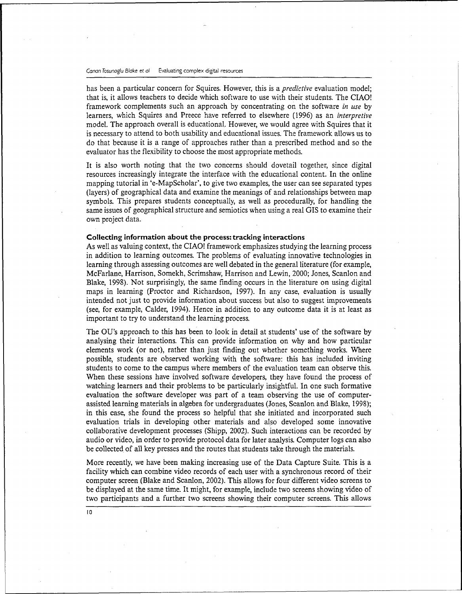#### Canon *Tosunoglu Blake* et *al* Evaluating complex digital resources

has been a particular concern for Squires. However, this is a *predictive* evaluation model; that is, it allows teachers to decide which software to use with their students. The CIAO! framework complements such an approach by concentrating on the software *in use* by learners, which Squires and Preece have referred to elsewhere (1996) as an *interpretive* model. The approach overall is educational. However, we would agree with Squires that it is necessary to attend to both usability and educational issues. The framework allows us to do that because it is a range of approaches rather than a prescribed method and so the evaluator has the flexibility to choose the most appropriate methods.

It is also worth noting that the two concerns should dovetail together, since digital resources increasingly integrate the interface with the educational content. In the online mapping tutorial in 'e-MapScholar', to give two examples, the user can see separated types (layers) of geographical data and examine the meanings of and relationships between map symbols. This prepares students conceptually, as well as procedurally, for handling the same issues of geographical structure and semiotics when using a real GIS to examine their own project data.

#### **Collecting information about the process: tracking interactions**

As well as valuing context, the CIAO! framework emphasizes studying the learning process in addition to learning outcomes. The problems of evaluating innovative technologies in learning through assessing outcomes are well debated in the general literature (for example, McFarlane, Harrison, Somekh, Scrimshaw, Harrison and Lewin, 2000; Jones, Scanlon and Blake, 1998). Not surprisingly, the same finding occurs in the literature on using digital maps in learning (Proctor and Richardson, 1997). In any case, evaluation is usually intended not just to provide information about success but also to suggest improvements (see, for example, Calder, 1994). Hence in addition to any outcome data it is at least as important to try to understand the learning process.

The OU's approach to this has been to look in detail at students' use of the software by analysing their interactions. This can provide information on why and how particular elements work (or not), rather than just finding out whether something works. Where possible, students are observed working with the software: this has included inviting students to come to the campus where members of the evaluation team can observe this. When these sessions have involved software developers, they have found the process of watching learners and their problems to be particularly insightful. In one such formative evaluation the software developer was part of a team observing the use of computerassisted learning materials in algebra for undergraduates (Jones, Scanlon and Blake, 1998); in this case, she found the process so helpful that she initiated and incorporated such evaluation trials in developing other materials and also developed some innovative collaborative development processes (Shipp, 2002). Such interactions can be recorded by audio or video, in order to provide protocol data for later analysis. Computer logs can also be collected of all key presses and the routes that students take through the materials.

More recently, we have been making increasing use of the Data Capture Suite. This is a facility which can combine video records of each user with a synchronous record of their computer screen (Blake and Scanlon, 2002). This allows for four different video screens to be displayed at the same time. It might, for example, include two screens showing video of two participants and a further two screens showing their computer screens. This allows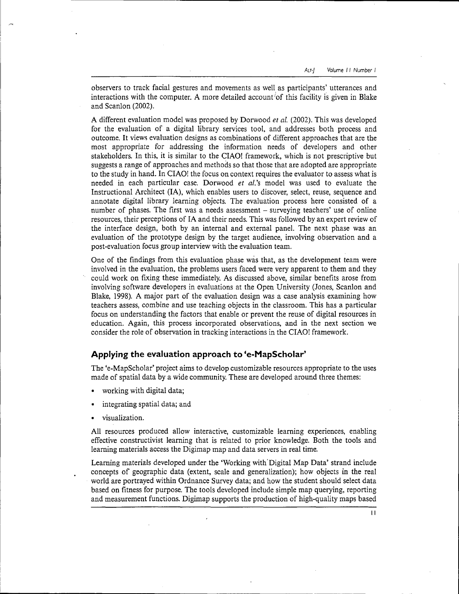observers to track facial gestures and movements as well as participants' utterances and interactions with the computer. A more detailed account 'of this facility is given in Blake and Scanlon (2002).

A different evaluation model was proposed by Dorwood *et al.* (2002). This was developed for the evaluation of a digital library services tool, and addresses both process and outcome. It views evaluation designs as combinations of different approaches that are the most appropriate for addressing the information needs of developers and other stakeholders. In this, it is similar to the CIAO! framework, which is not prescriptive but suggests a range of approaches and methods so that those that are adopted are appropriate to the study in hand. In CIAO! the focus on context requires the evaluator to assess what is needed in each particular case. Dorwood *et al.'s* model was used to evaluate the Instructional Architect (IA), which enables users to discover, select, reuse, sequence and annotate digital library learning objects. The evaluation process here consisted of a number of phases. The first was a needs assessment - surveying teachers' use of online resources, their perceptions of IA and their needs. This was followed by an expert review of the interface design, both by an internal and external panel. The next phase was an evaluation of the prototype design by the target audience, involving observation and a post-evaluation focus group interview with the evaluation team.

One of the findings from this evaluation phase was that, as the development team were involved in the evaluation, the problems users faced were very apparent to them and they could work on fixing these immediately. As discussed above, similar benefits arose from involving software developers in evaluations at the Open University (Jones, Scanlon and Blake, 1998). A major part of the evaluation design was a case analysis examining how teachers assess, combine and use teaching objects in the classroom. This has a particular focus on understanding the factors that enable or prevent the reuse of digital resources in education. Again, this process incorporated observations, and in the next section we consider the role of observation in tracking interactions in the CIAO! framework.

# **Applying the evaluation approach to 'e-MapScholar'**

The 'e-MapScholar' project aims to develop customizable resources appropriate to the uses made of spatial data by a wide community. These are developed around three themes:

- working with digital data;
- integrating spatial data; and
- visualization.

All resources produced allow interactive, customizable learning experiences, enabling effective constructivist learning that is related to prior knowledge. Both the tools and learning materials access the Digimap map and data servers in real time.

Learning materials developed under the 'Working with Digital Map Data' strand include concepts of geographic data (extent, scale and generalization); how objects in the real world are portrayed within Ordnance Survey data; and how the student should select data based on fitness for purpose. The tools developed include simple map querying, reporting and measurement functions. Digimap supports the production of high-quality maps based

 $\mathbf{1}$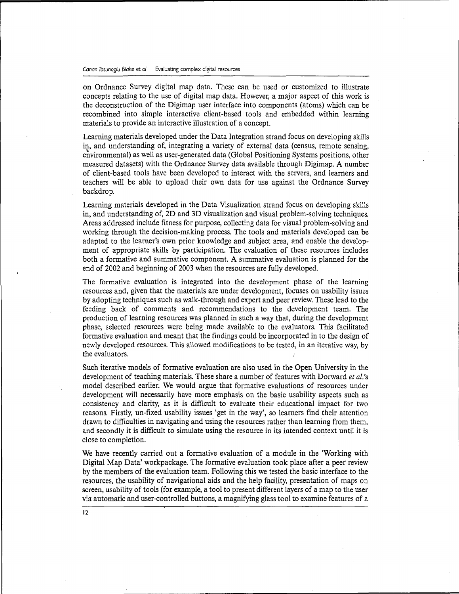on Ordnance Survey digital map data. These can be used or customized to illustrate concepts relating to the use of digital map data. However, a major aspect of this work is the deconstruction of the Digimap user interface into components (atoms) which can be recombined into simple interactive client-based tools and embedded within learning materials to provide an interactive illustration of a concept.

Learning materials developed under the Data Integration strand focus on developing skills in, and understanding of, integrating a variety of external data (census, remote sensing, environmental) as well as user-generated data (Global Positioning Systems positions, other measured datasets) with the Ordnance Survey data available through Digimap. A number of client-based tools have been developed to interact with the servers, and learners and teachers will be able to upload their own data for use against the Ordnance Survey backdrop.

Learning materials developed in the Data Visualization strand focus on developing skills in, and understanding of, 2D and 3D visualization and visual problem-solving techniques. Areas addressed include fitness for purpose, collecting data for visual problem-solving and working through the decision-making process. The tools and materials developed can be adapted to the learner's own prior knowledge and subject area, and enable the development of appropriate skills by participation. The evaluation of these resources includes both a formative and summative component. A summative evaluation is planned for the end of 2002 and beginning of 2003 when the resources are fully developed.

The formative evaluation is integrated into the development phase of the learning resources and, given that the materials are under development, focuses on usability issues by adopting techniques such as walk-through and expert and peer review. These lead to the feeding back of comments and recommendations to the development team. The production of learning resources was planned in such a way that, during the development phase, selected resources were being made available to the evaluators. This facilitated formative evaluation and meant that the findings could be incorporated in to the design of newly developed resources. This allowed modifications to be tested, in an iterative way, by the evaluators. *i*

Such iterative models of formative evaluation are also used in the Open University in the development of teaching materials. These share a number of features with Dorward *et al.'s* model described earlier. We would argue that formative evaluations of resources under development will necessarily have more emphasis on the basic usability aspects such as consistency and clarity, as it is difficult to evaluate their educational impact for two reasons. Firstly, un-fixed usability issues 'get in the way', so learners find their attention drawn to difficulties in navigating and using the resources rather than learning from them, and secondly it is difficult to simulate using the resource in its intended context until it is close to completion.

We have recently carried out a formative evaluation of a module in the 'Working with Digital Map Data' workpackage. The formative evaluation took place after a peer review by the members of the evaluation team. Following this we tested the basic interface to the resources, the usability of navigational aids and the help facility, presentation of maps on screen, usability of tools (for example, a tool to present different layers of a map to the user via automatic and user-controlled buttons, a magnifying glass tool to examine features of a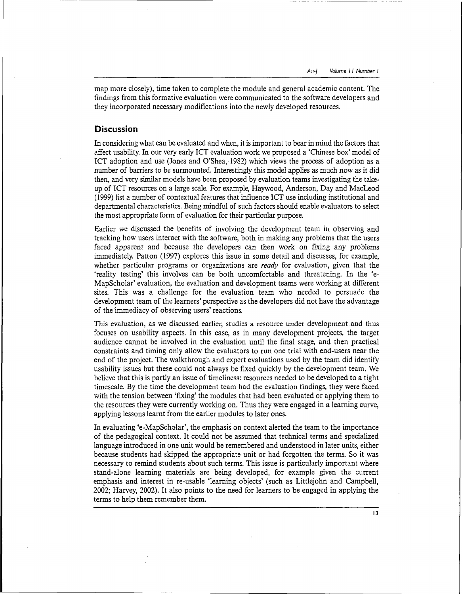map more closely), time taken to complete the module and general academic content. The findings from this formative evaluation were communicated to the software developers and they incorporated necessary modifications into the newly developed resources.

# **Discussion**

In considering what can be evaluated and when, it is important to bear in mind the factors that affect usability. In our very early ICT evaluation work we proposed a 'Chinese box' model of ICT adoption and use (Jones and O'Shea, 1982) which views the process of adoption as a number of barriers to be surmounted. Interestingly this model applies as much now as it did then, and very similar models have been proposed by evaluation teams investigating the takeup of ICT resources on a large scale. For example, Haywood, Anderson, Day and MacLeod (1999) list a number of contextual features that influence ICT use including institutional and departmental characteristics. Being mindful of such factors should enable evaluators to select the most appropriate form of evaluation for their particular purpose.

Earlier we discussed the benefits of involving the development team in observing and tracking how users interact with the software, both in making any problems that the users faced apparent and because the developers can then work on fixing any problems immediately. Patton (1997) explores this issue in some detail and discusses, for example, whether particular programs or organizations are *ready* for evaluation, given that the 'reality testing' this involves can be both uncomfortable and threatening. In the 'e-MapScholar' evaluation, the evaluation and development teams were working at different sites. This was a challenge for the evaluation team who needed to persuade the development team of the learners' perspective as the developers did not have the advantage of the immediacy of observing users' reactions.

This evaluation, as we discussed earlier, studies a resource under development and thus focuses on usability aspects. In this case, as in many development projects, the target audience cannot be involved in the evaluation until the final stage, and then practical constraints and timing only allow the evaluators to run one trial with end-users near the end of the project. The walkthrough and expert evaluations used by the team did identify usability issues but these could not always be fixed quickly by the development team. We believe that this is partly an issue of timeliness: resources needed to be developed to a tight timescale. By the time the development team had the evaluation findings, they were faced with the tension between 'fixing' the modules that had been evaluated or applying them to the resources they were currently working on. Thus they were engaged in a learning curve, applying lessons learnt from the earlier modules to later ones.

In evaluating 'e-MapScholar', the emphasis on context alerted the team to the importance of the pedagogical context. It could not be assumed that technical terms and specialized language introduced in one unit would be remembered and understood in later units, either because students had skipped the appropriate unit or had forgotten the terms. So it was necessary to remind students about such terms. This issue is particularly important where stand-alone learning materials are being developed, for example given the current emphasis and interest in re-usable 'learning objects' (such as Littlejohn and Campbell, 2002; Harvey, 2002). It also points to the need for learners to be engaged in applying the terms to help them remember them.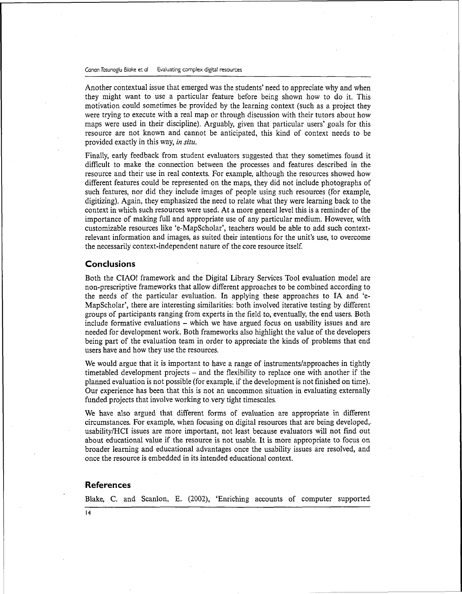Canon Tosunoglu Blake et al Evaluating complex digital resources

Another contextual issue that emerged was the students' need to appreciate why and when they might want to use a particular feature before being shown how to do it. This motivation could sometimes be provided by the learning context (such as a project they were trying to execute with a real map or through discussion with their tutors about how maps were used in their discipline). Arguably, given that particular users' goals for this resource are not known and cannot be anticipated, this kind of context needs to be provided exactly in this way, *in situ.*

Finally, early feedback from student evaluators suggested that they sometimes found it difficult to make the connection between the processes and features described in the resource and their use in real contexts. For example, although the resources showed how different features could be represented on the maps, they did not include photographs of such features, nor did they include images of people using such resources (for example, digitizing). Again, they emphasized the need to relate what they were learning back to the context in which such resources were used. At a more general level this is a reminder of the importance of making full and appropriate use of any particular medium. However, with customizable resources like 'e-MapScholar', teachers would be able to add such contextrelevant information and images, as suited their intentions for the unit's use, to overcome the necessarily context-independent nature of the core resource itself.

# **Conclusions**

Both the CIAO! framework and the Digital Library Services Tool evaluation model are non-prescriptive frameworks that allow different approaches to be combined according to the needs of the particular evaluation. In applying these approaches to IA and 'e-MapScholar', there are interesting similarities: both involved iterative testing by different groups of participants ranging from experts in the field to, eventually, the end users. Both include formative evaluations - which we have argued focus on usability issues and are needed for development work. Both frameworks also highlight the value of the developers being part of the evaluation team in order to appreciate the kinds of problems that end users have and how they use the resources.

We would argue that it is important to have a range of instruments/approaches in tightly timetabled development projects - and the flexibility to replace one with another if the planned evaluation is not possible (for example, if the development is not finished on time). Our experience has been that this is not an uncommon situation in evaluating externally funded projects that involve working to very tight timescales.

We have also argued that different forms of evaluation are appropriate in different circumstances. For example, when focusing on digital resources that are being developed,. usability/HCI issues are more important, not least because evaluators will not find out about educational value if the resource is not usable. It is more appropriate to focus on broader learning and educational advantages once the usability issues are resolved, and once the resource is embedded in its intended educational context.

### **References**

Blake, C. and Scanlon, E. (2002), 'Enriching accounts of computer supported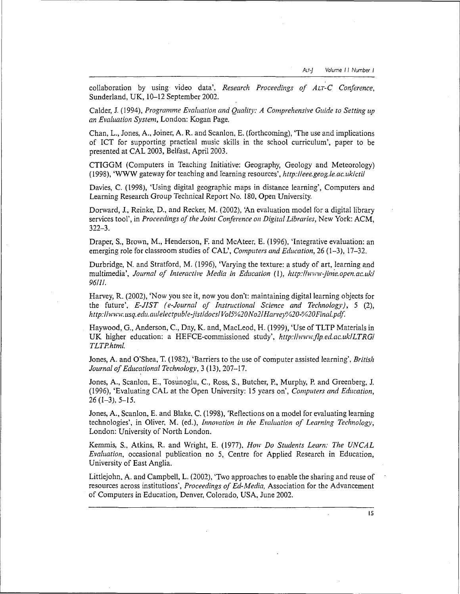collaboration by using video data', *Research Proceedings of ALT-C Conference,* Sunderland, UK, 10-12 September 2002.

Calder, J. (1994), *Programme Evaluation and Quality: A Comprehensive Guide to Setting up an Evaluation System,* London: Kogan Page.

Chan, L., Jones, A., Joiner, A. R. and Scanlon, E. (forthcoming), 'The use and implications of ICT for supporting practical music skills in the school curriculum', paper to be presented at CAL 2003, Belfast, April 2003.

CTIGGM (Computers in Teaching Initiative: Geography, Geology and Meteorology) (1998), 'WWW gateway for teaching and learning resources', *http://eee.geog.le.ac.uk/cti/*

Davies, C. (1998), 'Using digital geographic maps in distance learning', Computers and Learning Research Group Technical Report No. 180, Open University.

Dorward, J*.,* Reinke, D., and Recker, M. (2002), 'An evaluation model for a digital library services tool', in *Proceedings of the Joint Conference on Digital Libraries,* New York: ACM, 322-3.

Draper, S., Brown, M., Henderson, F. and McAteer, E. (1996), 'Integrative evaluation: an emerging role for classroom studies of CAL', *Computers and Education,* 26 (1-3), 17-32.

Durbridge, N. and Stratford, M. (1996), 'Varying the texture: a study of art, learning and multimedia', *Journal of Interactive Media in Education* (1), *http://www-jime.open.ac.uk/ 96/11.*

Harvey, R. (2002), 'Now you see it, now you don't: maintaining digital learning objects for the future', *E-JIST (e-Journal of Instructional Science and Technology),* 5 (2), *http://www.usq.edu.aulelectpuble-jist/docs/Vol5%20No2/Harvey%20-%20Final.pdf.*

Haywood, G., Anderson, C., Day, K. and, MacLeod, H. (1999), 'Use of TLTP Materials in UK higher education: a HEFCE-commissioned study', *http://www.flp.ed.ac.uk/LTRG/ TLTP.html.*

Jones, A. and O'Shea, T. (1982), 'Barriers to the use of computer assisted learning', *British Journal of Educational Technology,* 3 (13), 207-17.

Jones, A., Scanlon, E., Tosunoglu, C., Ross, S., Butcher, P., Murphy, P. and Greenberg, J. (1996), 'Evaluating CAL at the Open University: 15 years on', *Computers and Education,*  $26(1-3), 5-15.$ 

Jones, A., Scanlon, E. and Blake, C. (1998), 'Reflections on a model for evaluating learning technologies', in Oliver, M. (ed.), *Innovation in the Evaluation of Learning Technology,* London: University of North London.

Kemmis, S., Atkins, R. and Wright, E. (1977), *How Do Students Learn: The UNCAL Evaluation,* occasional publication no 5, Centre for Applied Research in Education, University of East Anglia.

Littlejohn, A. and Campbell, L. (2002), 'Two approaches to enable the sharing and reuse of resources across institutions', *Proceedings of Ed-Media,* Association for the Advancement of Computers in Education, Denver, Colorado, USA, June 2002.

IS